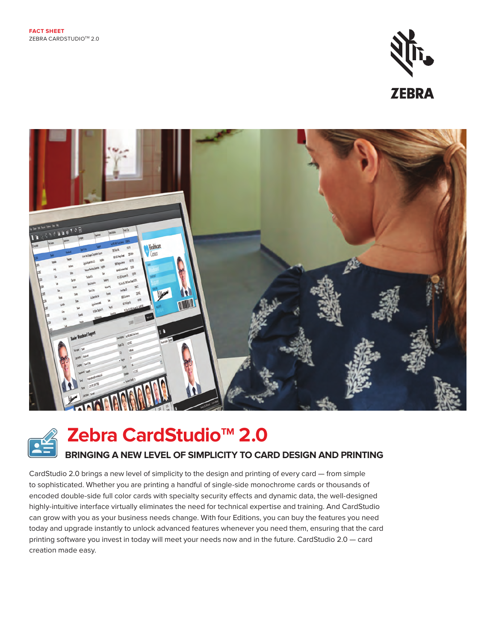





**Zebra CardStudio<sup>™</sup> 2.0** 

### **BRINGING A NEW LEVEL OF SIMPLICITY TO CARD DESIGN AND PRINTING**

CardStudio 2.0 brings a new level of simplicity to the design and printing of every card — from simple to sophisticated. Whether you are printing a handful of single-side monochrome cards or thousands of encoded double-side full color cards with specialty security effects and dynamic data, the well-designed highly-intuitive interface virtually eliminates the need for technical expertise and training. And CardStudio can grow with you as your business needs change. With four Editions, you can buy the features you need today and upgrade instantly to unlock advanced features whenever you need them, ensuring that the card printing software you invest in today will meet your needs now and in the future. CardStudio 2.0 — card creation made easy.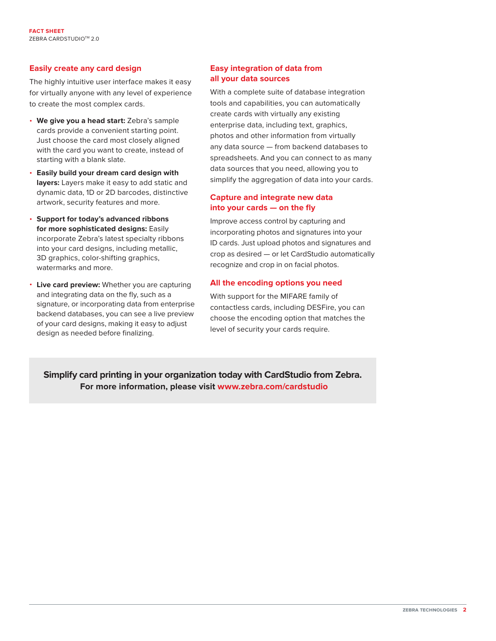#### **Easily create any card design**

The highly intuitive user interface makes it easy for virtually anyone with any level of experience to create the most complex cards.

- **We give you a head start:** Zebra's sample cards provide a convenient starting point. Just choose the card most closely aligned with the card you want to create, instead of starting with a blank slate.
- **Easily build your dream card design with layers:** Layers make it easy to add static and dynamic data, 1D or 2D barcodes, distinctive artwork, security features and more.
- **Support for today's advanced ribbons for more sophisticated designs:** Easily incorporate Zebra's latest specialty ribbons into your card designs, including metallic, 3D graphics, color-shifting graphics, watermarks and more.
- **Live card preview:** Whether you are capturing and integrating data on the fly, such as a signature, or incorporating data from enterprise backend databases, you can see a live preview of your card designs, making it easy to adjust design as needed before finalizing.

#### **Easy integration of data from all your data sources**

With a complete suite of database integration tools and capabilities, you can automatically create cards with virtually any existing enterprise data, including text, graphics, photos and other information from virtually any data source — from backend databases to spreadsheets. And you can connect to as many data sources that you need, allowing you to simplify the aggregation of data into your cards.

#### **Capture and integrate new data into your cards — on the fly**

Improve access control by capturing and incorporating photos and signatures into your ID cards. Just upload photos and signatures and crop as desired — or let CardStudio automatically recognize and crop in on facial photos.

#### **All the encoding options you need**

With support for the MIFARE family of contactless cards, including DESFire, you can choose the encoding option that matches the level of security your cards require.

**Simplify card printing in your organization today with CardStudio from Zebra. For more information, please visit [www.zebra.com/cardstudio](http://www.zebra.com/cardstudio)**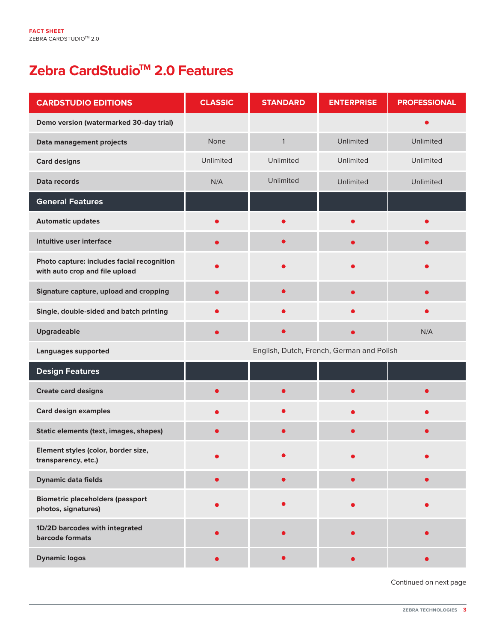# **Zebra CardStudioTM 2.0 Features**

| <b>CARDSTUDIO EDITIONS</b>                                                   | <b>CLASSIC</b>                            | <b>STANDARD</b> | <b>ENTERPRISE</b> | <b>PROFESSIONAL</b> |
|------------------------------------------------------------------------------|-------------------------------------------|-----------------|-------------------|---------------------|
| Demo version (watermarked 30-day trial)                                      |                                           |                 |                   |                     |
| Data management projects                                                     | None                                      | $\mathbf{1}$    | Unlimited         | Unlimited           |
| <b>Card designs</b>                                                          | Unlimited                                 | Unlimited       | Unlimited         | Unlimited           |
| Data records                                                                 | N/A                                       | Unlimited       | Unlimited         | Unlimited           |
| <b>General Features</b>                                                      |                                           |                 |                   |                     |
| <b>Automatic updates</b>                                                     |                                           | $\bullet$       | $\bullet$         |                     |
| Intuitive user interface                                                     |                                           | $\bullet$       | $\bullet$         |                     |
| Photo capture: includes facial recognition<br>with auto crop and file upload |                                           |                 |                   |                     |
| Signature capture, upload and cropping                                       | $\bullet$                                 | $\bullet$       | $\bullet$         |                     |
| Single, double-sided and batch printing                                      |                                           |                 |                   |                     |
| <b>Upgradeable</b>                                                           |                                           | ●               | æ                 | N/A                 |
| <b>Languages supported</b>                                                   | English, Dutch, French, German and Polish |                 |                   |                     |
| <b>Design Features</b>                                                       |                                           |                 |                   |                     |
| <b>Create card designs</b>                                                   |                                           | О               | ●                 |                     |
| <b>Card design examples</b>                                                  |                                           |                 |                   |                     |
| Static elements (text, images, shapes)                                       |                                           | c               |                   |                     |
| Element styles (color, border size,<br>transparency, etc.)                   |                                           |                 |                   |                     |
| <b>Dynamic data fields</b>                                                   | $\bullet$                                 | $\bullet$       | $\bullet$         |                     |
| <b>Biometric placeholders (passport</b><br>photos, signatures)               |                                           |                 |                   |                     |
| 1D/2D barcodes with integrated<br>barcode formats                            |                                           |                 |                   |                     |
| <b>Dynamic logos</b>                                                         |                                           | $\bullet$       | $\bullet$         |                     |

Continued on next page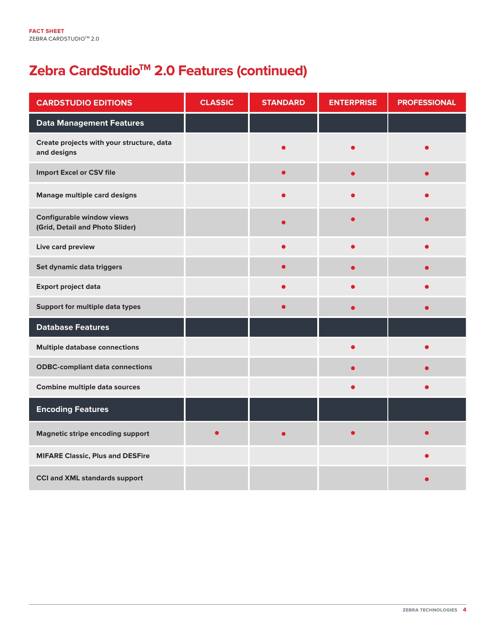# **Zebra CardStudio<sup>™</sup> 2.0 Features (continued)**

| <b>CARDSTUDIO EDITIONS</b>                                          | <b>CLASSIC</b> | <b>STANDARD</b> | <b>ENTERPRISE</b> | <b>PROFESSIONAL</b> |
|---------------------------------------------------------------------|----------------|-----------------|-------------------|---------------------|
| <b>Data Management Features</b>                                     |                |                 |                   |                     |
| Create projects with your structure, data<br>and designs            |                |                 |                   |                     |
| <b>Import Excel or CSV file</b>                                     |                |                 | $\bullet$         |                     |
| <b>Manage multiple card designs</b>                                 |                |                 |                   |                     |
| <b>Configurable window views</b><br>(Grid, Detail and Photo Slider) |                |                 |                   |                     |
| Live card preview                                                   |                |                 |                   |                     |
| Set dynamic data triggers                                           |                |                 |                   |                     |
| <b>Export project data</b>                                          |                |                 |                   |                     |
| Support for multiple data types                                     |                |                 |                   |                     |
| <b>Database Features</b>                                            |                |                 |                   |                     |
| <b>Multiple database connections</b>                                |                |                 |                   |                     |
| <b>ODBC-compliant data connections</b>                              |                |                 |                   |                     |
| <b>Combine multiple data sources</b>                                |                |                 |                   |                     |
| <b>Encoding Features</b>                                            |                |                 |                   |                     |
| <b>Magnetic stripe encoding support</b>                             |                |                 |                   |                     |
| <b>MIFARE Classic, Plus and DESFire</b>                             |                |                 |                   |                     |
| <b>CCI and XML standards support</b>                                |                |                 |                   |                     |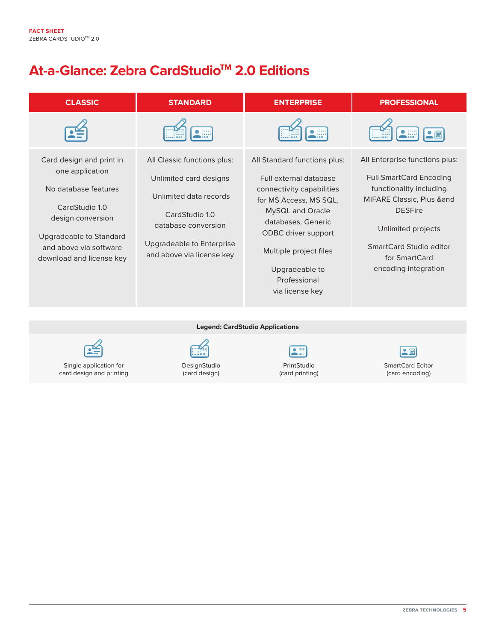## **At-a-Glance: Zebra CardStudioTM 2.0 Editions**

| <b>CLASSIC</b>                                                                                                                                                                                     | <b>STANDARD</b>                                                                                                                                                                           | <b>ENTERPRISE</b>                                                                                                                                                                                                                                             | <b>PROFESSIONAL</b>                                                                                                                                                                                                                      |
|----------------------------------------------------------------------------------------------------------------------------------------------------------------------------------------------------|-------------------------------------------------------------------------------------------------------------------------------------------------------------------------------------------|---------------------------------------------------------------------------------------------------------------------------------------------------------------------------------------------------------------------------------------------------------------|------------------------------------------------------------------------------------------------------------------------------------------------------------------------------------------------------------------------------------------|
|                                                                                                                                                                                                    | H                                                                                                                                                                                         | 鼺                                                                                                                                                                                                                                                             | $\bullet$<br>$\cdot$ ei<br>J⊞                                                                                                                                                                                                            |
| Card design and print in<br>one application<br>No database features<br>CardStudio 1.0<br>design conversion<br><b>Upgradeable to Standard</b><br>and above via software<br>download and license key | All Classic functions plus:<br>Unlimited card designs<br>Unlimited data records<br>CardStudio 1.0<br>database conversion<br><b>Upgradeable to Enterprise</b><br>and above via license key | All Standard functions plus:<br>Full external database<br>connectivity capabilities<br>for MS Access, MS SQL,<br>MySQL and Oracle<br>databases. Generic<br>ODBC driver support<br>Multiple project files<br>Upgradeable to<br>Professional<br>via license key | All Enterprise functions plus:<br><b>Full SmartCard Encoding</b><br>functionality including<br><b>MIFARE Classic, Plus ∧</b><br><b>DESFire</b><br>Unlimited projects<br>SmartCard Studio editor<br>for SmartCard<br>encoding integration |

**Legend: CardStudio Applications**



Single application for card design and printing



DesignStudio (card design)

L

PrintStudio (card printing)